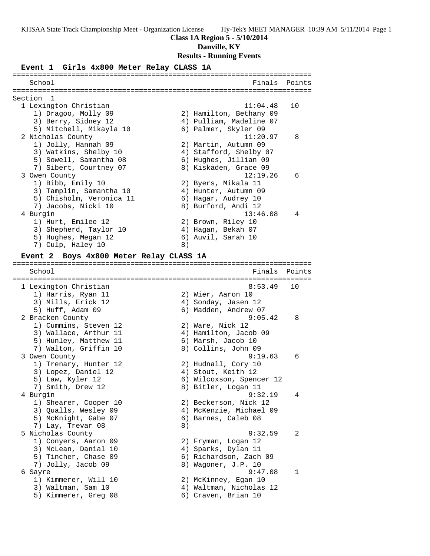### **Class 1A Region 5 - 5/10/2014**

## **Danville, KY**

**Results - Running Events**

#### **Event 1 Girls 4x800 Meter Relay CLASS 1A**

======================================================================= School **Finals Points** ======================================================================= Section 1<br>1 Lexington Christian 1 Lexington Christian 11:04.48 10 1) Dragoo, Molly 09 2) Hamilton, Bethany 09 3) Berry, Sidney 12 4) Pulliam, Madeline 07 5) Mitchell, Mikayla 10 6) Palmer, Skyler 09 2 Nicholas County 11:20.97 8 1) Jolly, Hannah 09 2) Martin, Autumn 09 3) Watkins, Shelby 10 4) Stafford, Shelby 07 5) Sowell, Samantha 08 6) Hughes, Jillian 09 7) Sibert, Courtney 07 8) Kiskaden, Grace 09 3 Owen County 12:19.26 6 1) Bibb, Emily 10 2) Byers, Mikala 11 3) Tamplin, Samantha 10 (4) Hunter, Autumn 09 5) Chisholm, Veronica 11 6) Hagar, Audrey 10 7) Jacobs, Nicki 10 8) Burford, Andi 12 4 Burgin 13:46.08 4 1) Hurt, Emilee 12 2) Brown, Riley 10 3) Shepherd, Taylor 10  $\hskip1cm$  4) Hagan, Bekah 07 5) Hughes, Megan 12 6) Auvil, Sarah 10 7) Culp, Haley 10 8) **Event 2 Boys 4x800 Meter Relay CLASS 1A** ======================================================================= School Finals Points ======================================================================= 1 Lexington Christian 8:53.49 10 1) Harris, Ryan 11 120 2) Wier, Aaron 10 3) Mills, Erick 12 4) Sonday, Jasen 12 5) Huff, Adam 09 6) Madden, Andrew 07 2 Bracken County 9:05.42 8 1) Cummins, Steven 12 (2) Ware, Nick 12 3) Wallace, Arthur 11 4) Hamilton, Jacob 09 5) Hunley, Matthew 11 6) Marsh, Jacob 10 7) Walton, Griffin 10 8) Collins, John 09 3 Owen County 9:19.63 6 1) Trenary, Hunter 12 2) Hudnall, Cory 10 3) Lopez, Daniel 12 (4) Stout, Keith 12 5) Law, Kyler 12 6) Wilcoxson, Spencer 12 7) Smith, Drew 12 8) Bitler, Logan 11 4 Burgin 9:32.19 4 1) Shearer, Cooper 10 2) Beckerson, Nick 12 3) Qualls, Wesley 09 4) McKenzie, Michael 09 5) McKnight, Gabe 07 (6) Barnes, Caleb 08 7) Lay, Trevar 08 8) 5 Nicholas County 9:32.59 2 1) Conyers, Aaron 09 2) Fryman, Logan 12 3) McLean, Danial 10 4) Sparks, Dylan 11 5) Tincher, Chase 09 6) Richardson, Zach 09 7) Jolly, Jacob 09 8) Wagoner, J.P. 10 6 Sayre 9:47.08 1 1) Kimmerer, Will 10 2) McKinney, Egan 10 3) Waltman, Sam 10 4) Waltman, Nicholas 12 5) Kimmerer, Greg 08 6) Craven, Brian 10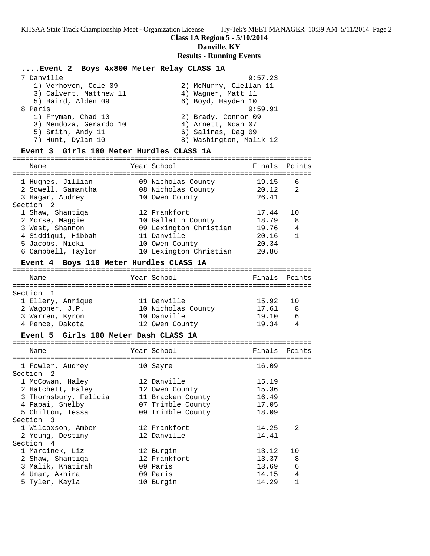## **Class 1A Region 5 - 5/10/2014**

## **Danville, KY**

# **Results - Running Events**

## **....Event 2 Boys 4x800 Meter Relay CLASS 1A**

| 7 Danville             | 9:57.23                 |
|------------------------|-------------------------|
| 1) Verhoven, Cole 09   | 2) McMurry, Clellan 11  |
| 3) Calvert, Matthew 11 | 4) Wagner, Matt 11      |
| 5) Baird, Alden 09     | 6) Boyd, Hayden 10      |
| 8 Paris                | 9:59.91                 |
| 1) Fryman, Chad 10     | 2) Brady, Connor 09     |
| 3) Mendoza, Gerardo 10 | 4) Arnett, Noah 07      |
| 5) Smith, Andy 11      | 6) Salinas, Dag 09      |
| 7) Hunt, Dylan 10      | 8) Washington, Malik 12 |
|                        |                         |

### **Event 3 Girls 100 Meter Hurdles CLASS 1A**

| Name                                    | Year School            | Finals Points |                |
|-----------------------------------------|------------------------|---------------|----------------|
|                                         |                        |               |                |
| 1 Hughes, Jillian                       | 09 Nicholas County     | 19.15         | 6              |
| 2 Sowell, Samantha                      | 08 Nicholas County     | 20.12         | $\mathfrak{D}$ |
| 3 Hagar, Audrey                         | 10 Owen County         | 26.41         |                |
| Section 2                               |                        |               |                |
| 1 Shaw, Shantiqa                        | 12 Frankfort           | 17.44         | 1 O            |
| 2 Morse, Maggie                         | 10 Gallatin County     | 18.79         | -8             |
| 3 West, Shannon                         | 09 Lexington Christian | 19.76         | $\overline{4}$ |
| 4 Siddiqui, Hibbah                      | 11 Danville            | 20.16         | 1              |
| 5 Jacobs, Nicki                         | 10 Owen County         | 20.34         |                |
| 6 Campbell, Taylor                      | 10 Lexington Christian | 20.86         |                |
| Event 4 Boys 110 Meter Hurdles CLASS 1A |                        |               |                |
|                                         |                        |               |                |
| Name                                    | Year School            | Finals        | Points         |
|                                         |                        |               |                |

|                                                                                         | 15.92                                                              | 10 |
|-----------------------------------------------------------------------------------------|--------------------------------------------------------------------|----|
|                                                                                         | 17.61                                                              |    |
|                                                                                         | 19.10                                                              | 6  |
|                                                                                         | 19.34                                                              | 4  |
| Section 1<br>1 Ellery, Anrique<br>2 Wagoner, J.P.<br>3 Warren, Kyron<br>4 Pence, Dakota | 11 Danville<br>10 Nicholas County<br>10 Danville<br>12 Owen County |    |

### **Event 5 Girls 100 Meter Dash CLASS 1A**

| Finals Points                                                                                                                                                                                                            |    |
|--------------------------------------------------------------------------------------------------------------------------------------------------------------------------------------------------------------------------|----|
|                                                                                                                                                                                                                          |    |
| 16.09                                                                                                                                                                                                                    |    |
|                                                                                                                                                                                                                          |    |
| 15.19                                                                                                                                                                                                                    |    |
| 15.36                                                                                                                                                                                                                    |    |
| 16.49                                                                                                                                                                                                                    |    |
| 17.05                                                                                                                                                                                                                    |    |
| 18.09                                                                                                                                                                                                                    |    |
|                                                                                                                                                                                                                          |    |
| 14.25                                                                                                                                                                                                                    | 2  |
| 14.41                                                                                                                                                                                                                    |    |
|                                                                                                                                                                                                                          |    |
| 13.12                                                                                                                                                                                                                    | 10 |
| 13.37                                                                                                                                                                                                                    | 8  |
| 13.69                                                                                                                                                                                                                    | 6  |
| 14.15                                                                                                                                                                                                                    | 4  |
| 14.29                                                                                                                                                                                                                    |    |
| Year School<br>10 Sayre<br>12 Danville<br>12 Owen County<br>11 Bracken County<br>07 Trimble County<br>09 Trimble County<br>12 Frankfort<br>12 Danville<br>12 Burgin<br>12 Frankfort<br>09 Paris<br>09 Paris<br>10 Burgin |    |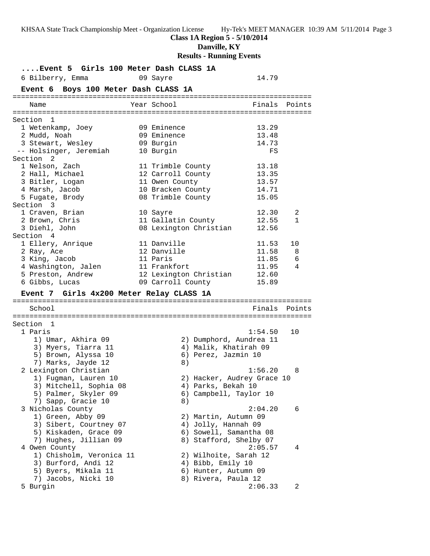**Class 1A Region 5 - 5/10/2014**

**Danville, KY**

**Results - Running Events**

| Event 5 Girls 100 Meter Dash CLASS 1A<br>6 Bilberry, Emma | 14.79<br>09 Sayre                                |              |
|-----------------------------------------------------------|--------------------------------------------------|--------------|
| Event 6 Boys 100 Meter Dash CLASS 1A                      |                                                  |              |
|                                                           |                                                  |              |
| Name                                                      | Year School<br>Finals                            | Points       |
|                                                           |                                                  |              |
| Section 1                                                 |                                                  |              |
| 1 Wetenkamp, Joey                                         | 09 Eminence<br>13.29                             |              |
| 2 Mudd, Noah                                              | 13.48<br>09 Eminence                             |              |
| 3 Stewart, Wesley                                         | 14.73<br>09 Burgin                               |              |
| -- Holsinger, Jeremiah                                    | 10 Burgin<br>FS                                  |              |
| Section <sub>2</sub>                                      |                                                  |              |
| 1 Nelson, Zach                                            | 11 Trimble County<br>13.18                       |              |
| 2 Hall, Michael                                           | 13.35<br>12 Carroll County<br>13.57              |              |
| 3 Bitler, Logan<br>4 Marsh, Jacob                         | 11 Owen County<br>14.71<br>10 Bracken County     |              |
| 5 Fugate, Brody                                           | 08 Trimble County<br>15.05                       |              |
| Section 3                                                 |                                                  |              |
| 1 Craven, Brian                                           | 12.30<br>10 Sayre                                | 2            |
| 2 Brown, Chris                                            | 11 Gallatin County<br>12.55                      | $\mathbf{1}$ |
| 3 Diehl, John                                             | 08 Lexington Christian<br>12.56                  |              |
| Section 4                                                 |                                                  |              |
| 1 Ellery, Anrique                                         | 11 Danville<br>11.53                             | 10           |
| 2 Ray, Ace                                                | 12 Danville<br>11.58                             | 8            |
| 3 King, Jacob                                             | 11 Paris<br>11.85                                | 6            |
| 4 Washington, Jalen                                       | 11.95<br>11 Frankfort                            | 4            |
| 5 Preston, Andrew                                         | 12 Lexington Christian<br>12.60                  |              |
| 6 Gibbs, Lucas                                            | 09 Carroll County<br>15.89                       |              |
| Event 7 Girls 4x200 Meter Relay CLASS 1A                  |                                                  |              |
| School                                                    | Finals                                           | Points       |
|                                                           |                                                  |              |
| Section 1                                                 |                                                  |              |
| 1 Paris                                                   | 1:54.50                                          | 10           |
| 1) Umar, Akhira 09                                        | 2) Dumphord, Aundrea 11                          |              |
| 3) Myers, Tiarra 11                                       | 4) Malik, Khatirah 09                            |              |
| 5) Brown, Alyssa 10                                       | 6) Perez, Jazmin 10                              |              |
| 7) Marks, Jayde 12                                        | 8)                                               |              |
| 2 Lexington Christian                                     | 1:56.20                                          | 8            |
| 1) Fugman, Lauren 10                                      | 2) Hacker, Audrey Grace 10                       |              |
| 3) Mitchell, Sophia 08                                    | 4) Parks, Bekah 10                               |              |
| 5) Palmer, Skyler 09                                      | 6) Campbell, Taylor 10                           |              |
| 7) Sapp, Gracie 10                                        | 8)                                               |              |
| 3 Nicholas County                                         | 2:04.20                                          | 6            |
| 1) Green, Abby 09                                         | 2) Martin, Autumn 09                             |              |
| 3) Sibert, Courtney 07                                    | 4) Jolly, Hannah 09                              |              |
| 5) Kiskaden, Grace 09<br>7) Hughes, Jillian 09            | 6) Sowell, Samantha 08<br>8) Stafford, Shelby 07 |              |
| 4 Owen County                                             | 2:05.57                                          | 4            |
| 1) Chisholm, Veronica 11                                  | 2) Wilhoite, Sarah 12                            |              |
| 3) Burford, Andi 12                                       | 4) Bibb, Emily 10                                |              |
| 5) Byers, Mikala 11                                       | 6) Hunter, Autumn 09                             |              |
| 7) Jacobs, Nicki 10                                       | 8) Rivera, Paula 12                              |              |
| 5 Burgin                                                  | 2:06.33                                          | 2            |
|                                                           |                                                  |              |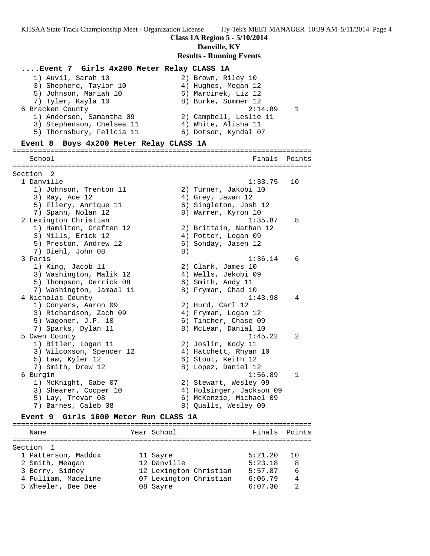**Class 1A Region 5 - 5/10/2014**

**Danville, KY**

**Results - Running Events**

### **....Event 7 Girls 4x200 Meter Relay CLASS 1A**

| 1) Auvil, Sarah 10        | 2) Brown, Riley 10     |
|---------------------------|------------------------|
| 3) Shepherd, Taylor 10    | 4) Hughes, Megan 12    |
| 5) Johnson, Mariah 10     | 6) Marcinek, Liz 12    |
| 7) Tyler, Kayla 10        | 8) Burke, Summer 12    |
| 6 Bracken County          | 2:14.89                |
| 1) Anderson, Samantha 09  | 2) Campbell, Leslie 11 |
| 3) Stephenson, Chelsea 11 | 4) White, Alisha 11    |
| 5) Thornsbury, Felicia 11 | 6) Dotson, Kyndal 07   |
|                           |                        |

#### **Event 8 Boys 4x200 Meter Relay CLASS 1A**

======================================================================= School **Finals Points** ======================================================================= Section 2 1 Danville 1:33.75 10 1) Johnson, Trenton 11 2) Turner, Jakobi 10 3) Ray, Ace 12 12 12 12 12 13 4 4 Grey, Jawan 12 5) Ellery, Anrique 11 6) Singleton, Josh 12 7) Spann, Nolan 12 8) Warren, Kyron 10 2 Lexington Christian 1:35.87 8 1) Hamilton, Graften 12 2) Brittain, Nathan 12 3) Mills, Erick 12 4) Potter, Logan 09 5) Preston, Andrew 12 6) Sonday, Jasen 12 7) Diehl, John 08 8) 3 Paris 1:36.14 6 1) King, Jacob 11 2) Clark, James 10 3) Washington, Malik 12 4) Wells, Jekobi 09 5) Thompson, Derrick 08 6) Smith, Andy 11 7) Washington, Jamaal 11  $\hskip10mm 8$ ) Fryman, Chad 10 4 Nicholas County 1:43.98 4 1) Conyers, Aaron 09 2) Hurd, Carl 12 3) Richardson, Zach 09 4) Fryman, Logan 12 5) Wagoner, J.P. 10 6) Tincher, Chase 09 7) Sparks, Dylan 11 and 8) McLean, Danial 10 5 Owen County 1:45.22 2 1) Bitler, Logan 11 2) Joslin, Kody 11 3) Wilcoxson, Spencer 12 4) Hatchett, Rhyan 10 5) Law, Kyler 12 6) Stout, Keith 12 7) Smith, Drew 12 8) Lopez, Daniel 12 6 Burgin 1:56.89 1 1) McKnight, Gabe 07 2) Stewart, Wesley 09 3) Shearer, Cooper 10 4) Holsinger, Jackson 09 5) Lay, Trevar 08 6) McKenzie, Michael 09 7) Barnes, Caleb 08 8) Qualls, Wesley 09

#### **Event 9 Girls 1600 Meter Run CLASS 1A**

======================================================================= Name The Year School The Finals Points ======================================================================= Section 1 1 Patterson, Maddox 11 Sayre 5:21.20 10 2 Smith, Meagan 12 Danville 5:23.18 8 3 Berry, Sidney 12 Lexington Christian 5:57.87 6 4 Pulliam, Madeline 07 Lexington Christian 6:06.79 4 5 Wheeler, Dee Dee 08 Sayre 6:07.30 2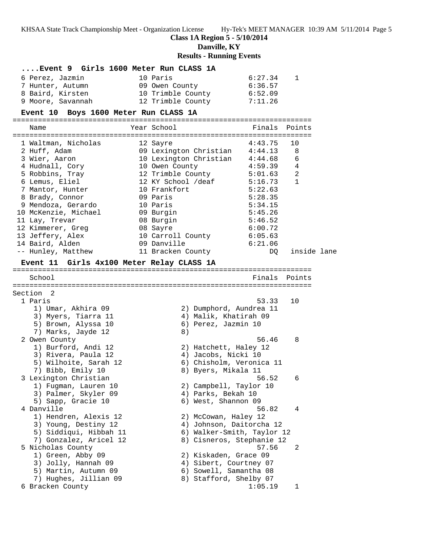**Class 1A Region 5 - 5/10/2014**

**Danville, KY**

**Results - Running Events**

| Event 9 Girls 1600 Meter Run CLASS 1A               |                               |                            |              |  |
|-----------------------------------------------------|-------------------------------|----------------------------|--------------|--|
| 6 Perez, Jazmin                                     | 10 Paris                      | 6:27.34                    | 1            |  |
| 7 Hunter, Autumn                                    | 09 Owen County                | 6:36.57                    |              |  |
| 8 Baird, Kirsten                                    | 10 Trimble County             | 6:52.09                    |              |  |
| 9 Moore, Savannah                                   | 12 Trimble County             | 7:11.26                    |              |  |
| Event 10 Boys 1600 Meter Run CLASS 1A               |                               |                            |              |  |
| Name                                                | Year School                   | Finals                     | Points       |  |
| 1 Waltman, Nicholas                                 | 12 Sayre                      | 4:43.75                    | 10           |  |
| 2 Huff, Adam                                        | 09 Lexington Christian        | 4:44.13                    | 8            |  |
| 3 Wier, Aaron                                       | 10 Lexington Christian        | 4:44.68                    | 6            |  |
| 4 Hudnall, Cory                                     | 10 Owen County                | 4:59.39                    | 4            |  |
| 5 Robbins, Tray                                     | 12 Trimble County             | 5:01.63                    | 2            |  |
| 6 Lemus, Eliel                                      | 12 KY School /deaf            | 5:16.73                    | $\mathbf{1}$ |  |
| 7 Mantor, Hunter                                    | 10 Frankfort                  | 5:22.63                    |              |  |
| 8 Brady, Connor                                     | 09 Paris                      | 5:28.35                    |              |  |
| 9 Mendoza, Gerardo                                  | 10 Paris                      | 5:34.15                    |              |  |
| 10 McKenzie, Michael                                | 09 Burgin                     | 5:45.26                    |              |  |
| 11 Lay, Trevar                                      | 08 Burgin                     | 5:46.52                    |              |  |
| 12 Kimmerer, Greg                                   | 08 Sayre<br>10 Carroll County | 6:00.72                    |              |  |
| 13 Jeffery, Alex                                    |                               | 6:05.63                    |              |  |
| 14 Baird, Alden                                     | 09 Danville                   | 6:21.06                    |              |  |
| -- Hunley, Matthew                                  | 11 Bracken County             | DQ                         | inside lane  |  |
| Event 11 Girls 4x100 Meter Relay CLASS 1A<br>School |                               | Finals Points              |              |  |
|                                                     |                               |                            |              |  |
| Section 2<br>1 Paris                                |                               | 53.33                      | 10           |  |
| 1) Umar, Akhira 09                                  | 2) Dumphord, Aundrea 11       |                            |              |  |
| 3) Myers, Tiarra 11                                 | 4) Malik, Khatirah 09         |                            |              |  |
| 5) Brown, Alyssa 10                                 | 6) Perez, Jazmin 10           |                            |              |  |
| 7) Marks, Jayde 12                                  | 8)                            |                            |              |  |
| 2 Owen County                                       |                               | 56.46                      | 8            |  |
| 1) Burford, Andi 12                                 | 2) Hatchett, Haley 12         |                            |              |  |
| 3) Rivera, Paula 12                                 | 4) Jacobs, Nicki 10           |                            |              |  |
| 5) Wilhoite, Sarah 12                               |                               | 6) Chisholm, Veronica 11   |              |  |
| 7) Bibb, Emily 10                                   | 8) Byers, Mikala 11           |                            |              |  |
| 3 Lexington Christian                               |                               | 56.52                      | 6            |  |
| 1) Fugman, Lauren 10                                | 2) Campbell, Taylor 10        |                            |              |  |
| 3) Palmer, Skyler 09                                | 4) Parks, Bekah 10            |                            |              |  |
| 5) Sapp, Gracie 10                                  | 6) West, Shannon 09           |                            |              |  |
| 4 Danville                                          |                               | 56.82                      | 4            |  |
| 1) Hendren, Alexis 12                               | 2) McCowan, Haley 12          |                            |              |  |
| 3) Young, Destiny 12                                |                               | 4) Johnson, Daitorcha 12   |              |  |
| 5) Siddiqui, Hibbah 11                              |                               | 6) Walker-Smith, Taylor 12 |              |  |
| 7) Gonzalez, Aricel 12                              |                               | 8) Cisneros, Stephanie 12  |              |  |
| 5 Nicholas County                                   |                               | 57.56                      | 2            |  |
| 1) Green, Abby 09                                   | 2) Kiskaden, Grace 09         |                            |              |  |
| 3) Jolly, Hannah 09                                 | 4) Sibert, Courtney 07        |                            |              |  |
| 5) Martin, Autumn 09                                | 6) Sowell, Samantha 08        |                            |              |  |
| 7) Hughes, Jillian 09                               | 8) Stafford, Shelby 07        |                            |              |  |
| 6 Bracken County                                    |                               | 1:05.19                    | 1            |  |
|                                                     |                               |                            |              |  |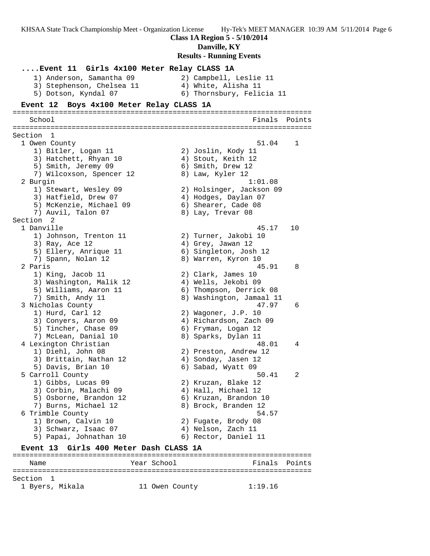**Class 1A Region 5 - 5/10/2014 Danville, KY Results - Running Events ....Event 11 Girls 4x100 Meter Relay CLASS 1A** 1) Anderson, Samantha 09 2) Campbell, Leslie 11 3) Stephenson, Chelsea 11 (4) White, Alisha 11 5) Dotson, Kyndal 07 6) Thornsbury, Felicia 11 **Event 12 Boys 4x100 Meter Relay CLASS 1A** ======================================================================= School **Finals Points** ======================================================================= Section 1<br>1 Owen County 1 Owen County 51.04 1 1) Bitler, Logan 11 2) Joslin, Kody 11 3) Hatchett, Rhyan 10  $\hskip1cm 4$ ) Stout, Keith 12 5) Smith, Jeremy 09 6) Smith, Drew 12 7) Wilcoxson, Spencer 12 and 8) Law, Kyler 12 2 Burgin 1:01.08 1) Stewart, Wesley 09 2) Holsinger, Jackson 09 3) Hatfield, Drew 07 4) Hodges, Daylan 07 5) McKenzie, Michael 09 (6) Shearer, Cade 08 7) Auvil, Talon 07 8) Lay, Trevar 08 Section 2<br>1 Danville 1 Danville 45.17 10 1) Johnson, Trenton 11 (2) Turner, Jakobi 10 3) Ray, Ace 12  $\hskip 10mm 4$  4) Grey, Jawan 12 5) Ellery, Anrique 11 6) Singleton, Josh 12 7) Spann, Nolan 12 8) Warren, Kyron 10 2 Paris 45.91 8 1) King, Jacob 11 2) Clark, James 10 3) Washington, Malik 12 4) Wells, Jekobi 09 5) Williams, Aaron 11 6) Thompson, Derrick 08 7) Smith, Andy 11 8) Washington, Jamaal 11 3 Nicholas County 47.97 6 1) Hurd, Carl 12 2) Wagoner, J.P. 10 3) Conyers, Aaron 09 4) Richardson, Zach 09 5) Tincher, Chase 09 6) Fryman, Logan 12 7) McLean, Danial 10 8) Sparks, Dylan 11 4 Lexington Christian 48.01 4 1) Diehl, John 08 2) Preston, Andrew 12 3) Brittain, Nathan 12 4) Sonday, Jasen 12 5) Davis, Brian 10 6) Sabad, Wyatt 09 5 Carroll County 50.41 2 1) Gibbs, Lucas 09 2) Kruzan, Blake 12 3) Corbin, Malachi 09 4) Hall, Michael 12 5) Osborne, Brandon 12 6) Kruzan, Brandon 10 7) Burns, Michael 12 8) Brock, Branden 12 6 Trimble County 54.57 1) Brown, Calvin 10 2) Fugate, Brody 08 3) Schwarz, Isaac 07 (4) Nelson, Zach 11 5) Papai, Johnathan 10  $\qquad \qquad$  6) Rector, Daniel 11

KHSAA State Track Championship Meet - Organization License Hy-Tek's MEET MANAGER 10:39 AM 5/11/2014 Page 6

#### **Event 13 Girls 400 Meter Dash CLASS 1A**

======================================================================= Name The Year School Team Points Points ======================================================================= Section 1 1 Byers, Mikala 11 Owen County 1:19.16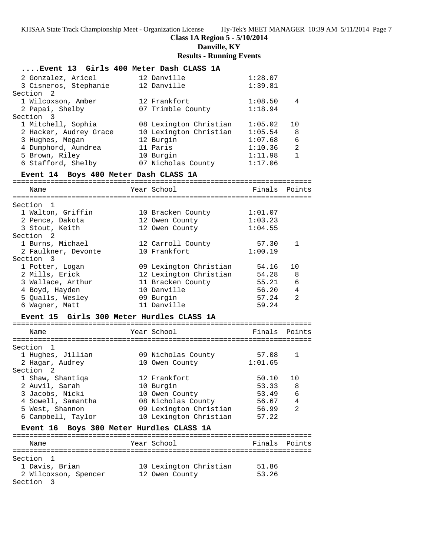# **Class 1A Region 5 - 5/10/2014**

**Danville, KY**

# **Results - Running Events**

|                                           | Event 13 Girls 400 Meter Dash CLASS 1A |                |               |
|-------------------------------------------|----------------------------------------|----------------|---------------|
| 2 Gonzalez, Aricel                        | 12 Danville                            | 1:28.07        |               |
| 3 Cisneros, Stephanie                     | 12 Danville                            | 1:39.81        |               |
| Section 2                                 |                                        |                |               |
| 1 Wilcoxson, Amber                        | 12 Frankfort                           | 1:08.50        | 4             |
| 2 Papai, Shelby                           | 07 Trimble County                      | 1:18.94        |               |
| Section 3                                 |                                        |                |               |
| 1 Mitchell, Sophia                        | 08 Lexington Christian                 | 1:05.02        | 10            |
| 2 Hacker, Audrey Grace                    | 10 Lexington Christian                 | 1:05.54        | 8             |
| 3 Hughes, Megan                           | 12 Burgin                              | 1:07.68        | 6             |
| 4 Dumphord, Aundrea                       | 11 Paris                               | 1:10.36        | 2             |
| 5 Brown, Riley                            | 10 Burgin                              | 1:11.98        | $\mathbf{1}$  |
| 6 Stafford, Shelby                        | 07 Nicholas County                     | 1:17.06        |               |
| Event 14 Boys 400 Meter Dash CLASS 1A     |                                        |                |               |
| Name                                      | Year School                            |                | Finals Points |
|                                           |                                        |                |               |
| Section 1                                 |                                        |                |               |
| 1 Walton, Griffin                         | 10 Bracken County                      | 1:01.07        |               |
| 2 Pence, Dakota                           | 12 Owen County                         | 1:03.23        |               |
| 3 Stout, Keith                            | 12 Owen County                         | 1:04.55        |               |
| Section <sub>2</sub>                      |                                        |                |               |
| 1 Burns, Michael                          | 12 Carroll County                      | 57.30          | $\mathbf{1}$  |
| 2 Faulkner, Devonte                       | 10 Frankfort                           | 1:00.19        |               |
| Section 3                                 |                                        |                |               |
| 1 Potter, Logan                           | 09 Lexington Christian                 | 54.16<br>54.28 | 10            |
| 2 Mills, Erick                            | 12 Lexington Christian                 | 55.21          | 8<br>6        |
| 3 Wallace, Arthur<br>4 Boyd, Hayden       | 11 Bracken County<br>10 Danville       | 56.20          | 4             |
| 5 Qualls, Wesley                          | 09 Burgin                              | 57.24          | 2             |
| 6 Wagner, Matt                            | 11 Danville                            | 59.24          |               |
|                                           |                                        |                |               |
| Event 15 Girls 300 Meter Hurdles CLASS 1A |                                        |                |               |
| Name                                      | Year School                            | Finals Points  |               |
|                                           |                                        |                |               |
| Section 1                                 |                                        |                |               |
| 1 Hughes, Jillian                         | 09 Nicholas County                     | 57.08          | 1             |
| 2 Hagar, Audrey                           | 10 Owen County                         | 1:01.65        |               |
| Section <sub>2</sub>                      |                                        |                |               |
| 1 Shaw, Shantiqa                          | 12 Frankfort                           | 50.10 10       |               |
| 2 Auvil, Sarah                            | 10 Burgin                              | 53.33          | 8             |
| 3 Jacobs, Nicki                           | 10 Owen County                         | 53.49          | 6             |
| 4 Sowell, Samantha                        | 08 Nicholas County                     | 56.67          | 4             |
| 5 West, Shannon                           | 09 Lexington Christian                 | 56.99          | 2             |
| 6 Campbell, Taylor                        | 10 Lexington Christian                 | 57.22          |               |
| Event 16 Boys 300 Meter Hurdles CLASS 1A  |                                        |                |               |
| Name                                      | Year School                            |                | Finals Points |
|                                           |                                        |                |               |
| Section 1                                 |                                        |                |               |
| 1 Davis, Brian                            | 10 Lexington Christian                 | 51.86          |               |
| 2 Wilcoxson, Spencer                      | 12 Owen County                         | 53.26          |               |
| Section<br>- 3                            |                                        |                |               |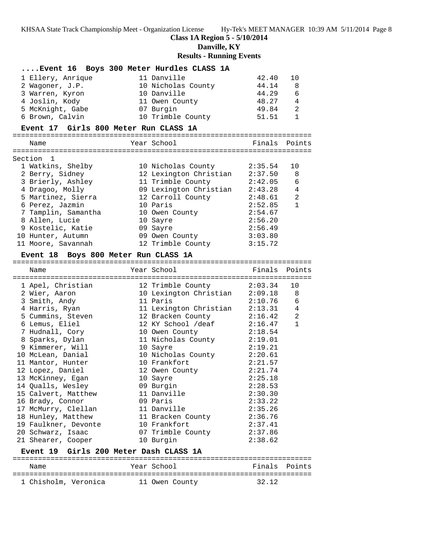## **Class 1A Region 5 - 5/10/2014**

**Danville, KY**

# **Results - Running Events**

| Event 16 Boys 300 Meter Hurdles CLASS 1A                                           |                                           |               |                |
|------------------------------------------------------------------------------------|-------------------------------------------|---------------|----------------|
| 1 Ellery, Anrique                                                                  | 11 Danville                               | 42.40         | 10             |
| 2 Wagoner, J.P.                                                                    | 10 Nicholas County                        | 44.14 8       |                |
| 3 Warren, Kyron                                                                    | 10 Danville                               | 44.29 6       |                |
| 4 Joslin, Kody 11 Owen County                                                      |                                           | 48.27         | $\overline{4}$ |
| 5 McKnight, Gabe                                                                   | 07 Burgin                                 | 49.84         | 2              |
| 6 Brown, Calvin                                                                    | 10 Trimble County                         | 51.51         | $\mathbf{1}$   |
| Event 17 Girls 800 Meter Run CLASS 1A                                              |                                           |               |                |
| -------------------<br>Name                                                        | ==========================<br>Year School | Finals Points |                |
| Section 1                                                                          |                                           |               |                |
|                                                                                    |                                           |               | 10             |
| 2 Berry, Sidney                                                                    | 12 Lexington Christian 2:37.50 8          |               |                |
| 3 Brierly, Ashley 11 Trimble County 2:42.05 6                                      |                                           |               |                |
| 4 Dragoo, Molly                                                                    | 09 Lexington Christian 2:43.28            |               | $\overline{4}$ |
| 5 Martinez, Sierra 12 Carroll County 2:48.61                                       |                                           |               | 2              |
| 6 Perez, Jazmin                                                                    | 10 Paris                                  | 2:52.85       | $\mathbf{1}$   |
| 7 Tamplin, Samantha                10 Owen County                          2:54.67 |                                           |               |                |
| 8 Allen, Lucie                                                                     | 10 Sayre                                  | 2:56.20       |                |
| 9 Kostelic, Katie                                                                  | 09 Sayre                                  | 2:56.49       |                |
| 10 Hunter, Autumn 09 Owen County 3:03.80                                           |                                           |               |                |
| 11 Moore, Savannah                                                                 | 12 Trimble County 3:15.72                 |               |                |
| Event 18 Boys 800 Meter Run CLASS 1A                                               |                                           |               |                |
|                                                                                    |                                           |               |                |
| Name                                                                               | Year School                               | Finals Points |                |
|                                                                                    |                                           |               |                |

| 1 Apel, Christian                           |          | 12 Trimble County                                         | 2:03.34       | 10             |
|---------------------------------------------|----------|-----------------------------------------------------------|---------------|----------------|
| 2 Wier, Aaron                               |          | 10 Lexington Christian 2:09.18                            |               | 8              |
| 3 Smith, Andy                               |          | 11 Paris                                                  | 2:10.76       | 6              |
| 4 Harris, Ryan                              |          | 11 Lexington Christian 2:13.31                            |               | $\overline{4}$ |
| 5 Cummins, Steven 12 Bracken County 2:16.42 |          |                                                           |               | 2              |
| 6 Lemus, Eliel                              |          | 12 KY School /deaf 2:16.47                                |               | $\mathbf{1}$   |
| 7 Hudnall, Cory                             |          | 10 Owen County 2:18.54                                    |               |                |
| 8 Sparks, Dylan                             |          | 11 Nicholas County 2:19.01                                |               |                |
| 9 Kimmerer, Will                            | 10 Sayre |                                                           | 2:19.21       |                |
| 10 McLean, Danial                           |          | 10 Nicholas County 2:20.61                                |               |                |
| 11 Mantor, Hunter                           |          | 10 Frankfort                                              | 2:21.57       |                |
| 12 Lopez, Daniel                            |          | 12 Owen County                                            | 2:21.74       |                |
| 13 McKinney, Eqan                           | 10 Sayre |                                                           | 2:25.18       |                |
| 14 Qualls, Wesley                           |          | 09 Burgin                                                 | 2:28.53       |                |
| 15 Calvert, Matthew                         |          | 11 Danville                                               | 2:30.30       |                |
| 16 Brady, Connor                            | 09 Paris |                                                           | 2:33.22       |                |
| 17 McMurry, Clellan 11 Danville             |          |                                                           | 2:35.26       |                |
| 18 Hunley, Matthew                          |          | 11 Bracken County 2:36.76<br>2:37.41 10 Frankfort 2:37.41 |               |                |
| 19 Faulkner, Devonte 10 Frankfort           |          |                                                           |               |                |
| 20 Schwarz, Isaac                           |          | 07 Trimble County 2:37.86                                 |               |                |
| 21 Shearer, Cooper                          |          | 10 Burgin                                                 | 2:38.62       |                |
| Event 19 Girls 200 Meter Dash CLASS 1A      |          |                                                           |               |                |
| Name                                        |          | Year School in the School and the School and School       | Finals Points |                |
| 1 Chisholm, Veronica 11 Owen County         |          |                                                           | 32.12         |                |

1 Chisholm, Veronica 31 Owen County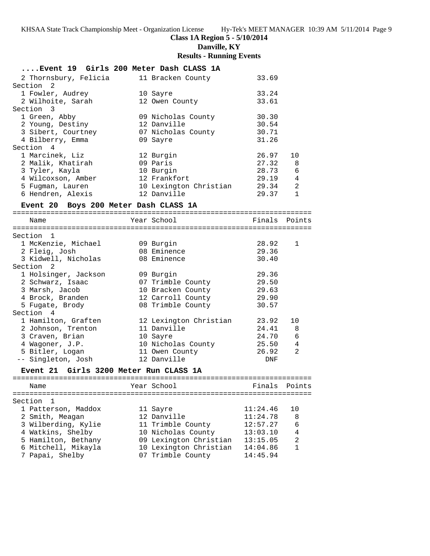### **Class 1A Region 5 - 5/10/2014**

### **Danville, KY**

### **Results - Running Events**

### **....Event 19 Girls 200 Meter Dash CLASS 1A** 2 Thornsbury, Felicia 11 Bracken County 33.69 Section 2 1 Fowler, Audrey 10 Sayre 33.24 2 Wilhoite, Sarah 12 Owen County 33.61 Section 3 1 Green, Abby 09 Nicholas County 30.30 2 Young, Destiny 12 Danville 30.54 3 Sibert, Courtney 07 Nicholas County 30.71 4 Bilberry, Emma 09 Sayre 31.26 Section 4 1 Marcinek, Liz 12 Burgin 26.97 10 2 Malik, Khatirah 09 Paris 27.32 8 3 Tyler, Kayla 10 Burgin 28.73 6 4 Wilcoxson, Amber 12 Frankfort 29.19 4 5 Fugman, Lauren 10 Lexington Christian 29.34 2 6 Hendren, Alexis 12 Danville 29.37 1 **Event 20 Boys 200 Meter Dash CLASS 1A** ======================================================================= Name The Year School The Finals Points ======================================================================= Section 1 1 McKenzie, Michael 09 Burgin 28.92 1 2 Fleig, Josh 08 Eminence 29.36 3 Kidwell, Nicholas 08 Eminence 30.40 Section 2 1 Holsinger, Jackson 09 Burgin 29.36 2 Schwarz, Isaac 07 Trimble County 29.50 3 Marsh, Jacob 10 Bracken County 29.63 4 Brock, Branden 12 Carroll County 29.90 5 Fugate, Brody 08 Trimble County 30.57

| Section 4           |                        |       |      |
|---------------------|------------------------|-------|------|
| 1 Hamilton, Graften | 12 Lexington Christian | 23.92 | - 10 |
| 2 Johnson, Trenton  | 11 Danville            | 24.41 | 8    |
| 3 Craven, Brian     | 10 Sayre               | 24.70 | 6    |
| 4 Wagoner, J.P.     | 10 Nicholas County     | 25.50 | 4    |
| 5 Bitler, Logan     | 11 Owen County         | 26.92 |      |
| -- Singleton, Josh  | 12 Danville            | DNF   |      |

### **Event 21 Girls 3200 Meter Run CLASS 1A**

| Name                | Year School            | Finals Points |                |
|---------------------|------------------------|---------------|----------------|
| Section 1           |                        |               |                |
| 1 Patterson, Maddox | 11 Sayre               | 11:24.46      | 10             |
| 2 Smith, Meagan     | 12 Danville            | 11:24.78      | 8              |
| 3 Wilberding, Kylie | 11 Trimble County      | 12:57.27      | 6              |
| 4 Watkins, Shelby   | 10 Nicholas County     | 13:03.10      | $\overline{4}$ |
| 5 Hamilton, Bethany | 09 Lexington Christian | 13:15.05      | 2              |
| 6 Mitchell, Mikayla | 10 Lexington Christian | 14:04.86      | 1              |
| 7 Papai, Shelby     | 07 Trimble County      | 14:45.94      |                |
|                     |                        |               |                |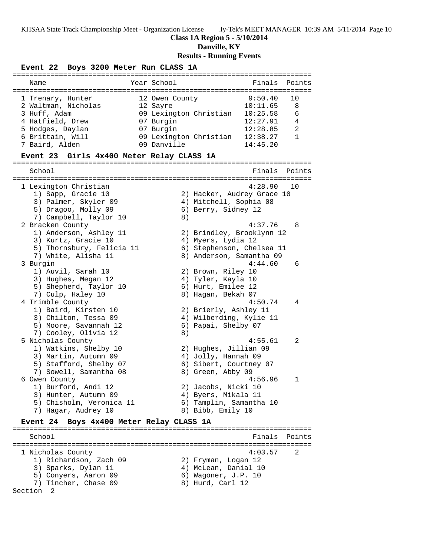### **Class 1A Region 5 - 5/10/2014**

**Danville, KY**

### **Results - Running Events**

### **Event 22 Boys 3200 Meter Run CLASS 1A**

| Name                                      |  | Year School    |                            | Finals   | Points       |
|-------------------------------------------|--|----------------|----------------------------|----------|--------------|
| 1 Trenary, Hunter                         |  | 12 Owen County |                            | 9:50.40  | 10           |
| 2 Waltman, Nicholas                       |  | 12 Sayre       |                            | 10:11.65 | 8            |
|                                           |  |                |                            |          |              |
| 3 Huff, Adam                              |  |                | 09 Lexington Christian     | 10:25.58 | 6            |
| 4 Hatfield, Drew                          |  | 07 Burgin      |                            | 12:27.91 | 4            |
| 5 Hodges, Daylan                          |  | 07 Burgin      |                            | 12:28.85 | 2            |
| 6 Brittain, Will                          |  |                | 09 Lexington Christian     | 12:38.27 | $\mathbf{1}$ |
| 7 Baird, Alden                            |  | 09 Danville    |                            | 14:45.20 |              |
| Event 23 Girls 4x400 Meter Relay CLASS 1A |  |                |                            |          |              |
| School                                    |  |                |                            | Finals   | Points       |
|                                           |  |                |                            |          |              |
| 1 Lexington Christian                     |  |                |                            | 4:28.90  | 10           |
| 1) Sapp, Gracie 10                        |  |                | 2) Hacker, Audrey Grace 10 |          |              |
| 3) Palmer, Skyler 09                      |  |                | 4) Mitchell, Sophia 08     |          |              |
| 5) Dragoo, Molly 09                       |  |                | 6) Berry, Sidney 12        |          |              |
| 7) Campbell, Taylor 10                    |  | 8)             |                            |          |              |
| 2 Bracken County                          |  |                |                            | 4:37.76  | 8            |
| 1) Anderson, Ashley 11                    |  |                | 2) Brindley, Brooklynn 12  |          |              |
| 3) Kurtz, Gracie 10                       |  |                | 4) Myers, Lydia 12         |          |              |
| 5) Thornsbury, Felicia 11                 |  |                | 6) Stephenson, Chelsea 11  |          |              |
| 7) White, Alisha 11                       |  |                | 8) Anderson, Samantha 09   |          |              |
|                                           |  |                |                            | 4:44.60  | 6            |
| 3 Burgin                                  |  |                |                            |          |              |
| 1) Auvil, Sarah 10                        |  |                | 2) Brown, Riley 10         |          |              |
| 3) Hughes, Megan 12                       |  |                | 4) Tyler, Kayla 10         |          |              |
| 5) Shepherd, Taylor 10                    |  |                | 6) Hurt, Emilee 12         |          |              |
| 7) Culp, Haley 10                         |  |                | 8) Hagan, Bekah 07         |          |              |
| 4 Trimble County                          |  |                |                            | 4:50.74  | 4            |
| 1) Baird, Kirsten 10                      |  |                | 2) Brierly, Ashley 11      |          |              |
| 3) Chilton, Tessa 09                      |  |                | 4) Wilberding, Kylie 11    |          |              |
| 5) Moore, Savannah 12                     |  |                | 6) Papai, Shelby 07        |          |              |
| 7) Cooley, Olivia 12                      |  | 8)             |                            |          |              |
| 5 Nicholas County                         |  |                |                            | 4:55.61  | 2            |
| 1) Watkins, Shelby 10                     |  |                | 2) Hughes, Jillian 09      |          |              |
| 3) Martin, Autumn 09                      |  |                | 4) Jolly, Hannah 09        |          |              |
| 5) Stafford, Shelby 07                    |  |                | 6) Sibert, Courtney 07     |          |              |
| 7) Sowell, Samantha 08                    |  |                | 8) Green, Abby 09          |          |              |
| 6 Owen County                             |  |                |                            | 4:56.96  | $\mathbf 1$  |
| 1) Burford, Andi 12                       |  |                | 2) Jacobs, Nicki 10        |          |              |
| 3) Hunter, Autumn 09                      |  |                | 4) Byers, Mikala 11        |          |              |
| 5) Chisholm, Veronica 11                  |  |                |                            |          |              |
|                                           |  |                | 6) Tamplin, Samantha 10    |          |              |
| 7) Hagar, Audrey 10                       |  |                | 8) Bibb, Emily 10          |          |              |

#### **Event 24 Boys 4x400 Meter Relay CLASS 1A**

======================================================================= School **Finals** Points **Points** ======================================================================= 1 Nicholas County 4:03.57 2 1) Richardson, Zach 09 2) Fryman, Logan 12 3) Sparks, Dylan 11 (4) McLean, Danial 10 5) Conyers, Aaron 09 6) Wagoner, J.P. 10 7) Tincher, Chase 09 8) Hurd, Carl 12 Section 2